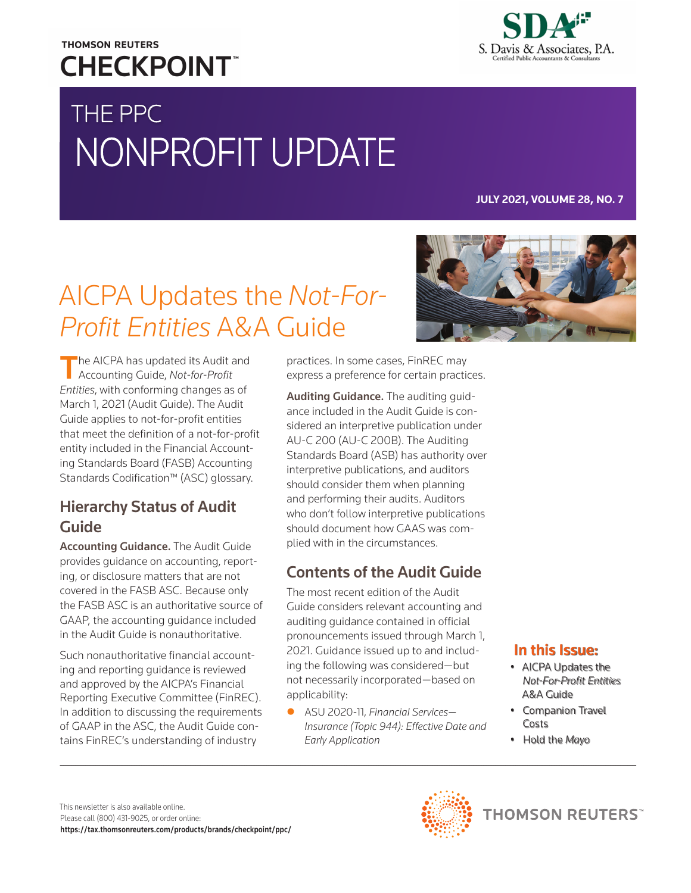### **THOMSON REUTERS CHECKPOINT**

# S. Davis & Associates, P.A.

# THE PPC NONPROFIT UPDATE

**JULY 2021, VOLUME 28, NO. 7**

## AICPA Updates the *Not-For-Profit Entities* A&A Guide

The AICPA has updated its Audit and<br>Accounting Guide, *Not-for-Profit Entities*, with conforming changes as of March 1, 2021 (Audit Guide). The Audit Guide applies to not-for-profit entities that meet the definition of a not-for-profit entity included in the Financial Accounting Standards Board (FASB) Accounting Standards Codification™ (ASC) glossary.

### Hierarchy Status of Audit Guide

Accounting Guidance. The Audit Guide provides guidance on accounting, reporting, or disclosure matters that are not covered in the FASB ASC. Because only the FASB ASC is an authoritative source of GAAP, the accounting guidance included in the Audit Guide is nonauthoritative.

Such nonauthoritative financial accounting and reporting guidance is reviewed and approved by the AICPA's Financial Reporting Executive Committee (FinREC). In addition to discussing the requirements of GAAP in the ASC, the Audit Guide contains FinREC's understanding of industry

practices. In some cases, FinREC may express a preference for certain practices.

Auditing Guidance. The auditing guidance included in the Audit Guide is considered an interpretive publication under AU-C 200 (AU-C 200B). The Auditing Standards Board (ASB) has authority over interpretive publications, and auditors should consider them when planning and performing their audits. Auditors who don't follow interpretive publications should document how GAAS was complied with in the circumstances.

### Contents of the Audit Guide

The most recent edition of the Audit Guide considers relevant accounting and auditing guidance contained in official pronouncements issued through March 1, 2021. Guidance issued up to and including the following was considered—but not necessarily incorporated—based on applicability:

z ASU 2020-11, *Financial Services— Insurance (Topic 944): Effective Date and Early Application*



- AICPA Updates the *Not-For-Profit Entities* A&A Guide
- Companion Travel Costs
- Hold the *Mayo*



**THOMSON REUTERS** 

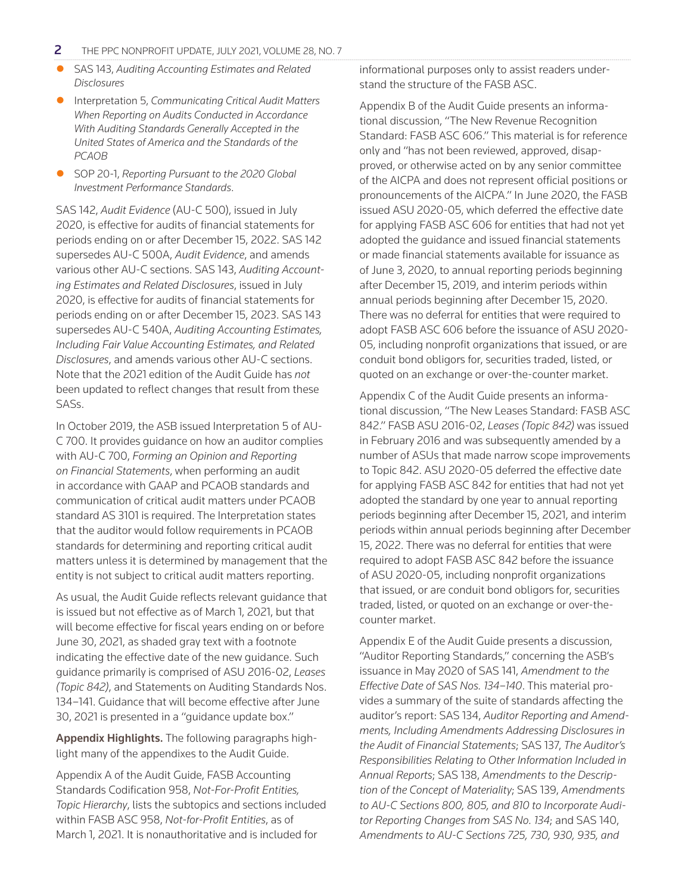- z SAS 143, *Auditing Accounting Estimates and Related Disclosures*
- **Interpretation 5,** *Communicating Critical Audit Matters When Reporting on Audits Conducted in Accordance With Auditing Standards Generally Accepted in the United States of America and the Standards of the PCAOB*
- z SOP 20-1, *Reporting Pursuant to the 2020 Global Investment Performance Standards*.

SAS 142, *Audit Evidence* (AU-C 500), issued in July 2020, is effective for audits of financial statements for periods ending on or after December 15, 2022. SAS 142 supersedes AU-C 500A, *Audit Evidence*, and amends various other AU-C sections. SAS 143, *Auditing Accounting Estimates and Related Disclosures*, issued in July 2020, is effective for audits of financial statements for periods ending on or after December 15, 2023. SAS 143 supersedes AU-C 540A, *Auditing Accounting Estimates, Including Fair Value Accounting Estimates, and Related Disclosures*, and amends various other AU-C sections. Note that the 2021 edition of the Audit Guide has *not* been updated to reflect changes that result from these SASs.

In October 2019, the ASB issued Interpretation 5 of AU-C 700. It provides guidance on how an auditor complies with AU-C 700, *Forming an Opinion and Reporting on Financial Statements*, when performing an audit in accordance with GAAP and PCAOB standards and communication of critical audit matters under PCAOB standard AS 3101 is required. The Interpretation states that the auditor would follow requirements in PCAOB standards for determining and reporting critical audit matters unless it is determined by management that the entity is not subject to critical audit matters reporting.

As usual, the Audit Guide reflects relevant guidance that is issued but not effective as of March 1, 2021, but that will become effective for fiscal years ending on or before June 30, 2021, as shaded gray text with a footnote indicating the effective date of the new guidance. Such guidance primarily is comprised of ASU 2016-02, *Leases (Topic 842)*, and Statements on Auditing Standards Nos. 134–141. Guidance that will become effective after June 30, 2021 is presented in a "guidance update box."

Appendix Highlights. The following paragraphs highlight many of the appendixes to the Audit Guide.

Appendix A of the Audit Guide, FASB Accounting Standards Codification 958, *Not-For-Profit Entities, Topic Hierarchy*, lists the subtopics and sections included within FASB ASC 958, *Not-for-Profit Entities*, as of March 1, 2021. It is nonauthoritative and is included for

informational purposes only to assist readers understand the structure of the FASB ASC.

Appendix B of the Audit Guide presents an informational discussion, "The New Revenue Recognition Standard: FASB ASC 606." This material is for reference only and "has not been reviewed, approved, disapproved, or otherwise acted on by any senior committee of the AICPA and does not represent official positions or pronouncements of the AICPA." In June 2020, the FASB issued ASU 2020-05, which deferred the effective date for applying FASB ASC 606 for entities that had not yet adopted the guidance and issued financial statements or made financial statements available for issuance as of June 3, 2020, to annual reporting periods beginning after December 15, 2019, and interim periods within annual periods beginning after December 15, 2020. There was no deferral for entities that were required to adopt FASB ASC 606 before the issuance of ASU 2020- 05, including nonprofit organizations that issued, or are conduit bond obligors for, securities traded, listed, or quoted on an exchange or over-the-counter market.

Appendix C of the Audit Guide presents an informational discussion, "The New Leases Standard: FASB ASC 842." FASB ASU 2016-02, *Leases (Topic 842)* was issued in February 2016 and was subsequently amended by a number of ASUs that made narrow scope improvements to Topic 842. ASU 2020-05 deferred the effective date for applying FASB ASC 842 for entities that had not yet adopted the standard by one year to annual reporting periods beginning after December 15, 2021, and interim periods within annual periods beginning after December 15, 2022. There was no deferral for entities that were required to adopt FASB ASC 842 before the issuance of ASU 2020-05, including nonprofit organizations that issued, or are conduit bond obligors for, securities traded, listed, or quoted on an exchange or over-thecounter market.

Appendix E of the Audit Guide presents a discussion, "Auditor Reporting Standards," concerning the ASB's issuance in May 2020 of SAS 141, *Amendment to the Effective Date of SAS Nos. 134–140*. This material provides a summary of the suite of standards affecting the auditor's report: SAS 134, *Auditor Reporting and Amendments, Including Amendments Addressing Disclosures in the Audit of Financial Statements*; SAS 137, *The Auditor's Responsibilities Relating to Other Information Included in Annual Reports*; SAS 138, *Amendments to the Description of the Concept of Materiality*; SAS 139, *Amendments to AU-C Sections 800, 805, and 810 to Incorporate Auditor Reporting Changes from SAS No. 134*; and SAS 140, *Amendments to AU-C Sections 725, 730, 930, 935, and*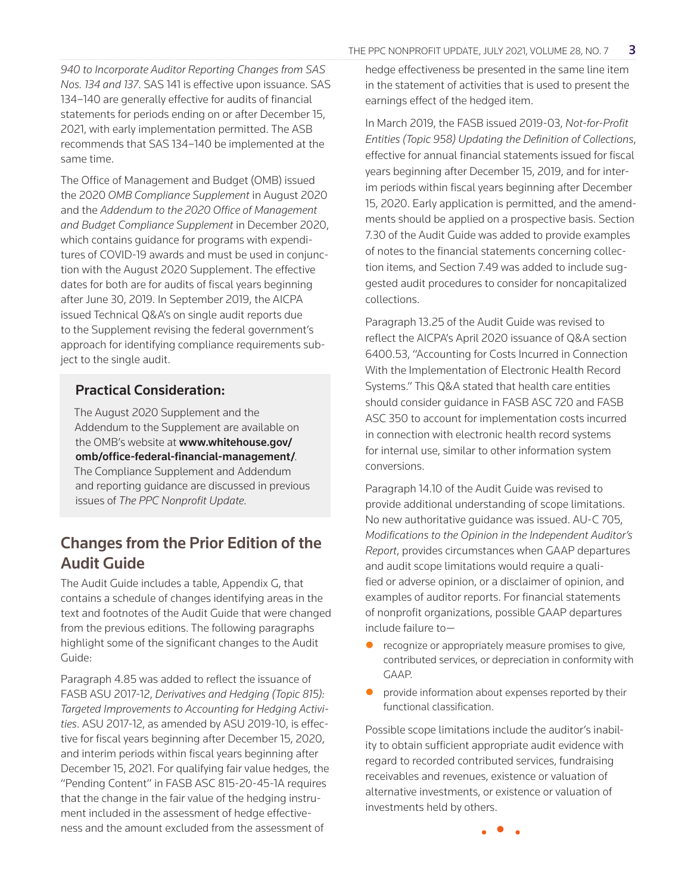*940 to Incorporate Auditor Reporting Changes from SAS Nos. 134 and 137*. SAS 141 is effective upon issuance. SAS 134–140 are generally effective for audits of financial statements for periods ending on or after December 15, 2021, with early implementation permitted. The ASB recommends that SAS 134–140 be implemented at the same time.

The Office of Management and Budget (OMB) issued the 2020 *OMB Compliance Supplement* in August 2020 and the *Addendum to the 2020 Office of Management and Budget Compliance Supplement* in December 2020, which contains guidance for programs with expenditures of COVID-19 awards and must be used in conjunction with the August 2020 Supplement. The effective dates for both are for audits of fiscal years beginning after June 30, 2019. In September 2019, the AICPA issued Technical Q&A's on single audit reports due to the Supplement revising the federal government's approach for identifying compliance requirements subject to the single audit.

#### Practical Consideration:

The August 2020 Supplement and the Addendum to the Supplement are available on the OMB's website at www.whitehouse.gov/ omb/office-federal-financial-management/. The Compliance Supplement and Addendum and reporting guidance are discussed in previous issues of *The PPC Nonprofit Update*.

#### Changes from the Prior Edition of the Audit Guide

The Audit Guide includes a table, Appendix G, that contains a schedule of changes identifying areas in the text and footnotes of the Audit Guide that were changed from the previous editions. The following paragraphs highlight some of the significant changes to the Audit Guide:

Paragraph 4.85 was added to reflect the issuance of FASB ASU 2017-12, *Derivatives and Hedging (Topic 815): Targeted Improvements to Accounting for Hedging Activities*. ASU 2017-12, as amended by ASU 2019-10, is effective for fiscal years beginning after December 15, 2020, and interim periods within fiscal years beginning after December 15, 2021. For qualifying fair value hedges, the "Pending Content" in FASB ASC 815-20-45-1A requires that the change in the fair value of the hedging instrument included in the assessment of hedge effectiveness and the amount excluded from the assessment of

hedge effectiveness be presented in the same line item in the statement of activities that is used to present the earnings effect of the hedged item.

In March 2019, the FASB issued 2019-03, *Not-for-Profit Entities (Topic 958) Updating the Definition of Collections*, effective for annual financial statements issued for fiscal years beginning after December 15, 2019, and for interim periods within fiscal years beginning after December 15, 2020. Early application is permitted, and the amendments should be applied on a prospective basis. Section 7.30 of the Audit Guide was added to provide examples of notes to the financial statements concerning collection items, and Section 7.49 was added to include suggested audit procedures to consider for noncapitalized collections.

Paragraph 13.25 of the Audit Guide was revised to reflect the AICPA's April 2020 issuance of Q&A section 6400.53, "Accounting for Costs Incurred in Connection With the Implementation of Electronic Health Record Systems." This Q&A stated that health care entities should consider guidance in FASB ASC 720 and FASB ASC 350 to account for implementation costs incurred in connection with electronic health record systems for internal use, similar to other information system conversions.

Paragraph 14.10 of the Audit Guide was revised to provide additional understanding of scope limitations. No new authoritative guidance was issued. AU-C 705, *Modifications to the Opinion in the Independent Auditor's Report*, provides circumstances when GAAP departures and audit scope limitations would require a qualified or adverse opinion, or a disclaimer of opinion, and examples of auditor reports. For financial statements of nonprofit organizations, possible GAAP departures include failure to—

- recognize or appropriately measure promises to give, contributed services, or depreciation in conformity with GAAP.
- $\bullet$  provide information about expenses reported by their functional classification.

Possible scope limitations include the auditor's inability to obtain sufficient appropriate audit evidence with regard to recorded contributed services, fundraising receivables and revenues, existence or valuation of alternative investments, or existence or valuation of investments held by others.

• • •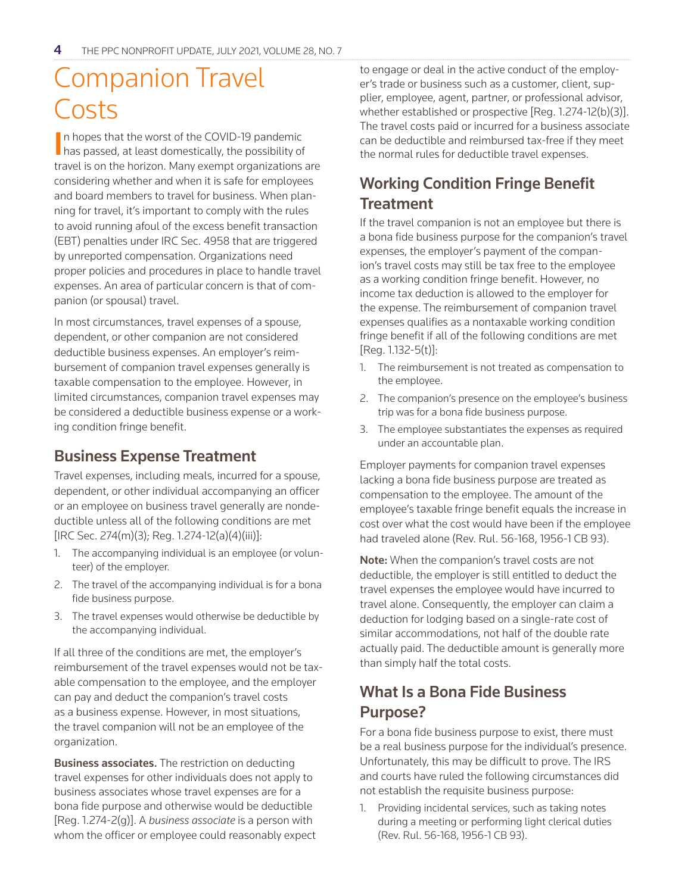### Companion Travel **Costs**

In hopes that the worst of the COVID-19 pandemic<br>has passed, at least domestically, the possibility of In hopes that the worst of the COVID-19 pandemic travel is on the horizon. Many exempt organizations are considering whether and when it is safe for employees and board members to travel for business. When planning for travel, it's important to comply with the rules to avoid running afoul of the excess benefit transaction (EBT) penalties under IRC Sec. 4958 that are triggered by unreported compensation. Organizations need proper policies and procedures in place to handle travel expenses. An area of particular concern is that of companion (or spousal) travel.

In most circumstances, travel expenses of a spouse, dependent, or other companion are not considered deductible business expenses. An employer's reimbursement of companion travel expenses generally is taxable compensation to the employee. However, in limited circumstances, companion travel expenses may be considered a deductible business expense or a working condition fringe benefit.

#### Business Expense Treatment

Travel expenses, including meals, incurred for a spouse, dependent, or other individual accompanying an officer or an employee on business travel generally are nondeductible unless all of the following conditions are met [IRC Sec. 274(m)(3); Reg. 1.274-12(a)(4)(iii)]:

- 1. The accompanying individual is an employee (or volunteer) of the employer.
- 2. The travel of the accompanying individual is for a bona fide business purpose.
- 3. The travel expenses would otherwise be deductible by the accompanying individual.

If all three of the conditions are met, the employer's reimbursement of the travel expenses would not be taxable compensation to the employee, and the employer can pay and deduct the companion's travel costs as a business expense. However, in most situations, the travel companion will not be an employee of the organization.

**Business associates.** The restriction on deducting travel expenses for other individuals does not apply to business associates whose travel expenses are for a bona fide purpose and otherwise would be deductible [Reg. 1.274-2(g)]. A *business associate* is a person with whom the officer or employee could reasonably expect to engage or deal in the active conduct of the employer's trade or business such as a customer, client, supplier, employee, agent, partner, or professional advisor, whether established or prospective [Reg. 1.274-12(b)(3)]. The travel costs paid or incurred for a business associate can be deductible and reimbursed tax-free if they meet the normal rules for deductible travel expenses.

#### Working Condition Fringe Benefit **Treatment**

If the travel companion is not an employee but there is a bona fide business purpose for the companion's travel expenses, the employer's payment of the companion's travel costs may still be tax free to the employee as a working condition fringe benefit. However, no income tax deduction is allowed to the employer for the expense. The reimbursement of companion travel expenses qualifies as a nontaxable working condition fringe benefit if all of the following conditions are met  $[Reg. 1.132-5(t)]$ :

- 1. The reimbursement is not treated as compensation to the employee.
- 2. The companion's presence on the employee's business trip was for a bona fide business purpose.
- 3. The employee substantiates the expenses as required under an accountable plan.

Employer payments for companion travel expenses lacking a bona fide business purpose are treated as compensation to the employee. The amount of the employee's taxable fringe benefit equals the increase in cost over what the cost would have been if the employee had traveled alone (Rev. Rul. 56-168, 1956-1 CB 93).

Note: When the companion's travel costs are not deductible, the employer is still entitled to deduct the travel expenses the employee would have incurred to travel alone. Consequently, the employer can claim a deduction for lodging based on a single-rate cost of similar accommodations, not half of the double rate actually paid. The deductible amount is generally more than simply half the total costs.

#### What Is a Bona Fide Business Purpose?

For a bona fide business purpose to exist, there must be a real business purpose for the individual's presence. Unfortunately, this may be difficult to prove. The IRS and courts have ruled the following circumstances did not establish the requisite business purpose:

1. Providing incidental services, such as taking notes during a meeting or performing light clerical duties (Rev. Rul. 56-168, 1956-1 CB 93).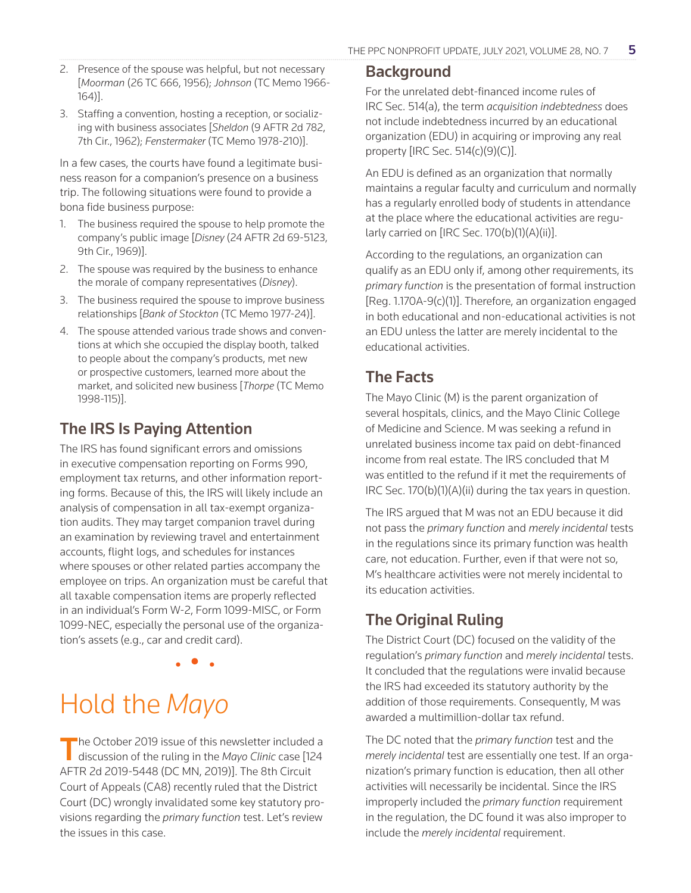- 2. Presence of the spouse was helpful, but not necessary [*Moorman* (26 TC 666, 1956); *Johnson* (TC Memo 1966- 164)].
- 3. Staffing a convention, hosting a reception, or socializing with business associates [*Sheldon* (9 AFTR 2d 782, 7th Cir., 1962); *Fenstermaker* (TC Memo 1978-210)].

In a few cases, the courts have found a legitimate business reason for a companion's presence on a business trip. The following situations were found to provide a bona fide business purpose:

- 1. The business required the spouse to help promote the company's public image [*Disney* (24 AFTR 2d 69-5123, 9th Cir., 1969)].
- 2. The spouse was required by the business to enhance the morale of company representatives (*Disney*).
- 3. The business required the spouse to improve business relationships [*Bank of Stockton* (TC Memo 1977-24)].
- 4. The spouse attended various trade shows and conventions at which she occupied the display booth, talked to people about the company's products, met new or prospective customers, learned more about the market, and solicited new business [*Thorpe* (TC Memo 1998-115)].

#### The IRS Is Paying Attention

The IRS has found significant errors and omissions in executive compensation reporting on Forms 990, employment tax returns, and other information reporting forms. Because of this, the IRS will likely include an analysis of compensation in all tax-exempt organization audits. They may target companion travel during an examination by reviewing travel and entertainment accounts, flight logs, and schedules for instances where spouses or other related parties accompany the employee on trips. An organization must be careful that all taxable compensation items are properly reflected in an individual's Form W-2, Form 1099-MISC, or Form 1099-NEC, especially the personal use of the organization's assets (e.g., car and credit card).

• • •

# Hold the *Mayo*

The October 2019 issue of this newsletter included a discussion of the ruling in the *Mayo Clinic* case [124] AFTR 2d 2019-5448 (DC MN, 2019)]. The 8th Circuit Court of Appeals (CA8) recently ruled that the District Court (DC) wrongly invalidated some key statutory provisions regarding the *primary function* test. Let's review the issues in this case.

#### **Background**

For the unrelated debt-financed income rules of IRC Sec. 514(a), the term *acquisition indebtedness* does not include indebtedness incurred by an educational organization (EDU) in acquiring or improving any real property  $[IRC Sec. 514(c)(9)(C)].$ 

An EDU is defined as an organization that normally maintains a regular faculty and curriculum and normally has a regularly enrolled body of students in attendance at the place where the educational activities are regularly carried on [IRC Sec. 170(b)(1)(A)(ii)].

According to the regulations, an organization can qualify as an EDU only if, among other requirements, its *primary function* is the presentation of formal instruction [Reg. 1.170A-9(c)(1)]. Therefore, an organization engaged in both educational and non-educational activities is not an EDU unless the latter are merely incidental to the educational activities.

#### The Facts

The Mayo Clinic (M) is the parent organization of several hospitals, clinics, and the Mayo Clinic College of Medicine and Science. M was seeking a refund in unrelated business income tax paid on debt-financed income from real estate. The IRS concluded that M was entitled to the refund if it met the requirements of IRC Sec. 170(b)(1)(A)(ii) during the tax years in question.

The IRS argued that M was not an EDU because it did not pass the *primary function* and *merely incidental* tests in the regulations since its primary function was health care, not education. Further, even if that were not so, M's healthcare activities were not merely incidental to its education activities.

#### The Original Ruling

The District Court (DC) focused on the validity of the regulation's *primary function* and *merely incidental* tests. It concluded that the regulations were invalid because the IRS had exceeded its statutory authority by the addition of those requirements. Consequently, M was awarded a multimillion-dollar tax refund.

The DC noted that the *primary function* test and the *merely incidental* test are essentially one test. If an organization's primary function is education, then all other activities will necessarily be incidental. Since the IRS improperly included the *primary function* requirement in the regulation, the DC found it was also improper to include the *merely incidental* requirement.